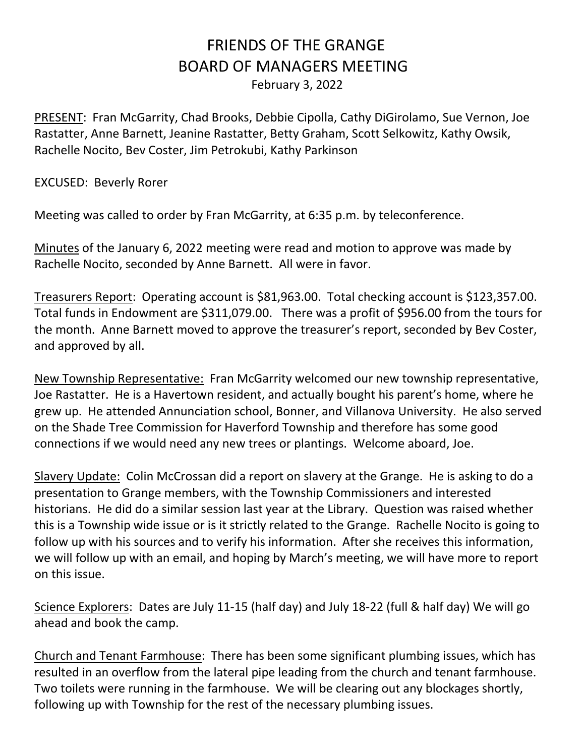## FRIENDS OF THE GRANGE BOARD OF MANAGERS MEETING February 3, 2022

PRESENT: Fran McGarrity, Chad Brooks, Debbie Cipolla, Cathy DiGirolamo, Sue Vernon, Joe Rastatter, Anne Barnett, Jeanine Rastatter, Betty Graham, Scott Selkowitz, Kathy Owsik, Rachelle Nocito, Bev Coster, Jim Petrokubi, Kathy Parkinson

EXCUSED: Beverly Rorer

Meeting was called to order by Fran McGarrity, at 6:35 p.m. by teleconference.

Minutes of the January 6, 2022 meeting were read and motion to approve was made by Rachelle Nocito, seconded by Anne Barnett. All were in favor.

Treasurers Report: Operating account is \$81,963.00. Total checking account is \$123,357.00. Total funds in Endowment are \$311,079.00. There was a profit of \$956.00 from the tours for the month. Anne Barnett moved to approve the treasurer's report, seconded by Bev Coster, and approved by all.

New Township Representative: Fran McGarrity welcomed our new township representative, Joe Rastatter. He is a Havertown resident, and actually bought his parent's home, where he grew up. He attended Annunciation school, Bonner, and Villanova University. He also served on the Shade Tree Commission for Haverford Township and therefore has some good connections if we would need any new trees or plantings. Welcome aboard, Joe.

Slavery Update: Colin McCrossan did a report on slavery at the Grange. He is asking to do a presentation to Grange members, with the Township Commissioners and interested historians. He did do a similar session last year at the Library. Question was raised whether this is a Township wide issue or is it strictly related to the Grange. Rachelle Nocito is going to follow up with his sources and to verify his information. After she receives this information, we will follow up with an email, and hoping by March's meeting, we will have more to report on this issue.

Science Explorers: Dates are July 11-15 (half day) and July 18-22 (full & half day) We will go ahead and book the camp.

Church and Tenant Farmhouse: There has been some significant plumbing issues, which has resulted in an overflow from the lateral pipe leading from the church and tenant farmhouse. Two toilets were running in the farmhouse. We will be clearing out any blockages shortly, following up with Township for the rest of the necessary plumbing issues.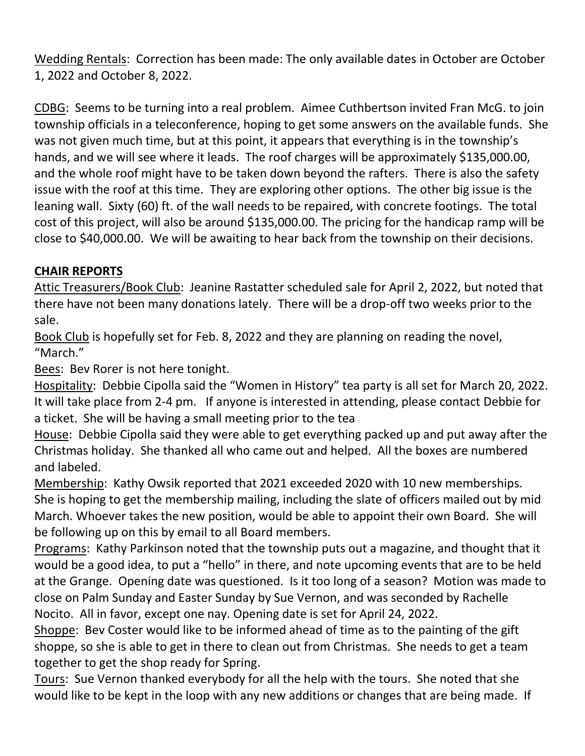Wedding Rentals: Correction has been made: The only available dates in October are October 1, 2022 and October 8, 2022.

CDBG: Seems to be turning into a real problem. Aimee Cuthbertson invited Fran McG. to join township officials in a teleconference, hoping to get some answers on the available funds. She was not given much time, but at this point, it appears that everything is in the township's hands, and we will see where it leads. The roof charges will be approximately \$135,000.00, and the whole roof might have to be taken down beyond the rafters. There is also the safety issue with the roof at this time. They are exploring other options. The other big issue is the leaning wall. Sixty (60) ft. of the wall needs to be repaired, with concrete footings. The total cost of this project, will also be around \$135,000.00. The pricing for the handicap ramp will be close to \$40,000.00. We will be awaiting to hear back from the township on their decisions.

## **CHAIR REPORTS**

Attic Treasurers/Book Club: Jeanine Rastatter scheduled sale for April 2, 2022, but noted that there have not been many donations lately. There will be a drop-off two weeks prior to the sale.

Book Club is hopefully set for Feb. 8, 2022 and they are planning on reading the novel, "March."

Bees: Bev Rorer is not here tonight.

Hospitality: Debbie Cipolla said the "Women in History" tea party is all set for March 20, 2022. It will take place from 2-4 pm. If anyone is interested in attending, please contact Debbie for a ticket. She will be having a small meeting prior to the tea

House: Debbie Cipolla said they were able to get everything packed up and put away after the Christmas holiday. She thanked all who came out and helped. All the boxes are numbered and labeled.

Membership: Kathy Owsik reported that 2021 exceeded 2020 with 10 new memberships. She is hoping to get the membership mailing, including the slate of officers mailed out by mid March. Whoever takes the new position, would be able to appoint their own Board. She will be following up on this by email to all Board members.

Programs: Kathy Parkinson noted that the township puts out a magazine, and thought that it would be a good idea, to put a "hello" in there, and note upcoming events that are to be held at the Grange. Opening date was questioned. Is it too long of a season? Motion was made to close on Palm Sunday and Easter Sunday by Sue Vernon, and was seconded by Rachelle Nocito. All in favor, except one nay. Opening date is set for April 24, 2022.

Shoppe: Bev Coster would like to be informed ahead of time as to the painting of the gift shoppe, so she is able to get in there to clean out from Christmas. She needs to get a team together to get the shop ready for Spring.

Tours: Sue Vernon thanked everybody for all the help with the tours. She noted that she would like to be kept in the loop with any new additions or changes that are being made. If